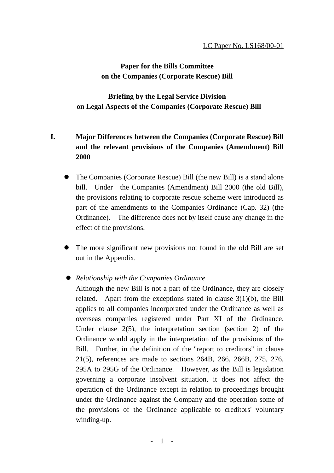## **Paper for the Bills Committee on the Companies (Corporate Rescue) Bill**

**Briefing by the Legal Service Division on Legal Aspects of the Companies (Corporate Rescue) Bill**

# **I. Major Differences between the Companies (Corporate Rescue) Bill and the relevant provisions of the Companies (Amendment) Bill 2000**

- The Companies (Corporate Rescue) Bill (the new Bill) is a stand alone bill. Under the Companies (Amendment) Bill 2000 (the old Bill), the provisions relating to corporate rescue scheme were introduced as part of the amendments to the Companies Ordinance (Cap. 32) (the Ordinance). The difference does not by itself cause any change in the effect of the provisions.
- ! The more significant new provisions not found in the old Bill are set out in the Appendix.

## ! *Relationship with the Companies Ordinance*

Although the new Bill is not a part of the Ordinance, they are closely related. Apart from the exceptions stated in clause 3(1)(b), the Bill applies to all companies incorporated under the Ordinance as well as overseas companies registered under Part XI of the Ordinance. Under clause 2(5), the interpretation section (section 2) of the Ordinance would apply in the interpretation of the provisions of the Bill. Further, in the definition of the "report to creditors" in clause 21(5), references are made to sections 264B, 266, 266B, 275, 276, 295A to 295G of the Ordinance. However, as the Bill is legislation governing a corporate insolvent situation, it does not affect the operation of the Ordinance except in relation to proceedings brought under the Ordinance against the Company and the operation some of the provisions of the Ordinance applicable to creditors' voluntary winding-up.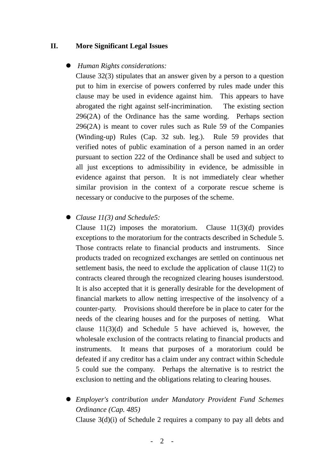#### **II. More Significant Legal Issues**

#### ! *Human Rights considerations:*

Clause 32(3) stipulates that an answer given by a person to a question put to him in exercise of powers conferred by rules made under this clause may be used in evidence against him. This appears to have abrogated the right against self-incrimination. The existing section 296(2A) of the Ordinance has the same wording. Perhaps section 296(2A) is meant to cover rules such as Rule 59 of the Companies (Winding-up) Rules (Cap. 32 sub. leg.). Rule 59 provides that verified notes of public examination of a person named in an order pursuant to section 222 of the Ordinance shall be used and subject to all just exceptions to admissibility in evidence, be admissible in evidence against that person. It is not immediately clear whether similar provision in the context of a corporate rescue scheme is necessary or conducive to the purposes of the scheme.

### ! *Clause 11(3) and Schedule5:*

Clause  $11(2)$  imposes the moratorium. Clause  $11(3)(d)$  provides exceptions to the moratorium for the contracts described in Schedule 5. Those contracts relate to financial products and instruments. Since products traded on recognized exchanges are settled on continuous net settlement basis, the need to exclude the application of clause 11(2) to contracts cleared through the recognized clearing houses isunderstood. It is also accepted that it is generally desirable for the development of financial markets to allow netting irrespective of the insolvency of a counter-party. Provisions should therefore be in place to cater for the needs of the clearing houses and for the purposes of netting. What clause 11(3)(d) and Schedule 5 have achieved is, however, the wholesale exclusion of the contracts relating to financial products and instruments. It means that purposes of a moratorium could be defeated if any creditor has a claim under any contract within Schedule 5 could sue the company. Perhaps the alternative is to restrict the exclusion to netting and the obligations relating to clearing houses.

! *Employer's contribution under Mandatory Provident Fund Schemes Ordinance (Cap. 485)* Clause 3(d)(i) of Schedule 2 requires a company to pay all debts and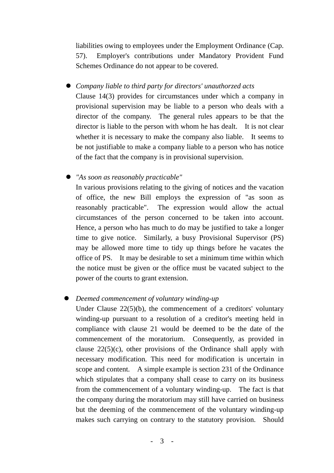liabilities owing to employees under the Employment Ordinance (Cap. 57). Employer's contributions under Mandatory Provident Fund Schemes Ordinance do not appear to be covered.

! *Company liable to third party for directors' unauthorzed acts*

Clause 14(3) provides for circumstances under which a company in provisional supervision may be liable to a person who deals with a director of the company. The general rules appears to be that the director is liable to the person with whom he has dealt. It is not clear whether it is necessary to make the company also liable. It seems to be not justifiable to make a company liable to a person who has notice of the fact that the company is in provisional supervision.

! *"As soon as reasonably practicable"*

In various provisions relating to the giving of notices and the vacation of office, the new Bill employs the expression of "as soon as reasonably practicable". The expression would allow the actual circumstances of the person concerned to be taken into account. Hence, a person who has much to do may be justified to take a longer time to give notice. Similarly, a busy Provisional Supervisor (PS) may be allowed more time to tidy up things before he vacates the office of PS. It may be desirable to set a minimum time within which the notice must be given or the office must be vacated subject to the power of the courts to grant extension.

## ! *Deemed commencement of voluntary winding-up*

Under Clause 22(5)(b), the commencement of a creditors' voluntary winding-up pursuant to a resolution of a creditor's meeting held in compliance with clause 21 would be deemed to be the date of the commencement of the moratorium. Consequently, as provided in clause  $22(5)(c)$ , other provisions of the Ordinance shall apply with necessary modification. This need for modification is uncertain in scope and content. A simple example is section 231 of the Ordinance which stipulates that a company shall cease to carry on its business from the commencement of a voluntary winding-up. The fact is that the company during the moratorium may still have carried on business but the deeming of the commencement of the voluntary winding-up makes such carrying on contrary to the statutory provision. Should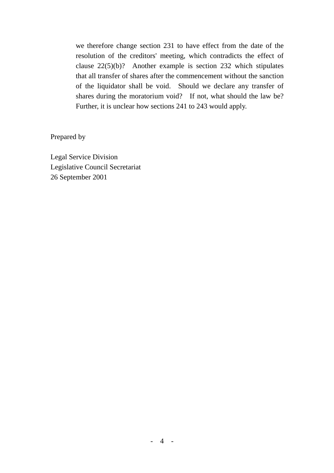we therefore change section 231 to have effect from the date of the resolution of the creditors' meeting, which contradicts the effect of clause 22(5)(b)? Another example is section 232 which stipulates that all transfer of shares after the commencement without the sanction of the liquidator shall be void. Should we declare any transfer of shares during the moratorium void? If not, what should the law be? Further, it is unclear how sections 241 to 243 would apply.

Prepared by

Legal Service Division Legislative Council Secretariat 26 September 2001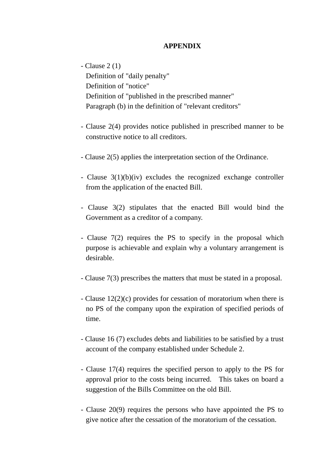### **APPENDIX**

- Clause 2 (1) Definition of "daily penalty" Definition of "notice" Definition of "published in the prescribed manner" Paragraph (b) in the definition of "relevant creditors"

- Clause 2(4) provides notice published in prescribed manner to be constructive notice to all creditors.
- Clause 2(5) applies the interpretation section of the Ordinance.
- Clause 3(1)(b)(iv) excludes the recognized exchange controller from the application of the enacted Bill.
- Clause 3(2) stipulates that the enacted Bill would bind the Government as a creditor of a company.
- Clause 7(2) requires the PS to specify in the proposal which purpose is achievable and explain why a voluntary arrangement is desirable.
- Clause 7(3) prescribes the matters that must be stated in a proposal.
- Clause 12(2)(c) provides for cessation of moratorium when there is no PS of the company upon the expiration of specified periods of time.
- Clause 16 (7) excludes debts and liabilities to be satisfied by a trust account of the company established under Schedule 2.
- Clause 17(4) requires the specified person to apply to the PS for approval prior to the costs being incurred. This takes on board a suggestion of the Bills Committee on the old Bill.
- Clause 20(9) requires the persons who have appointed the PS to give notice after the cessation of the moratorium of the cessation.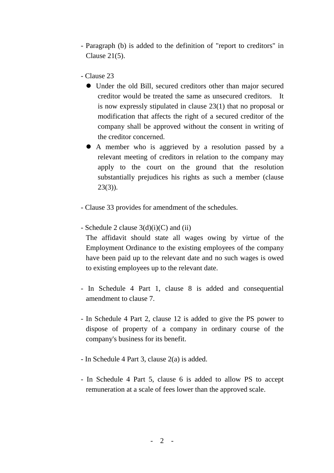- Paragraph (b) is added to the definition of "report to creditors" in Clause 21(5).
- Clause 23
	- Under the old Bill, secured creditors other than major secured creditor would be treated the same as unsecured creditors. It is now expressly stipulated in clause 23(1) that no proposal or modification that affects the right of a secured creditor of the company shall be approved without the consent in writing of the creditor concerned.
	- ! A member who is aggrieved by a resolution passed by a relevant meeting of creditors in relation to the company may apply to the court on the ground that the resolution substantially prejudices his rights as such a member (clause  $23(3)$ ).
- Clause 33 provides for amendment of the schedules.
- Schedule 2 clause  $3(d)(i)(C)$  and (ii)
	- The affidavit should state all wages owing by virtue of the Employment Ordinance to the existing employees of the company have been paid up to the relevant date and no such wages is owed to existing employees up to the relevant date.
- In Schedule 4 Part 1, clause 8 is added and consequential amendment to clause 7.
- In Schedule 4 Part 2, clause 12 is added to give the PS power to dispose of property of a company in ordinary course of the company's business for its benefit.
- In Schedule 4 Part 3, clause 2(a) is added.
- In Schedule 4 Part 5, clause 6 is added to allow PS to accept remuneration at a scale of fees lower than the approved scale.